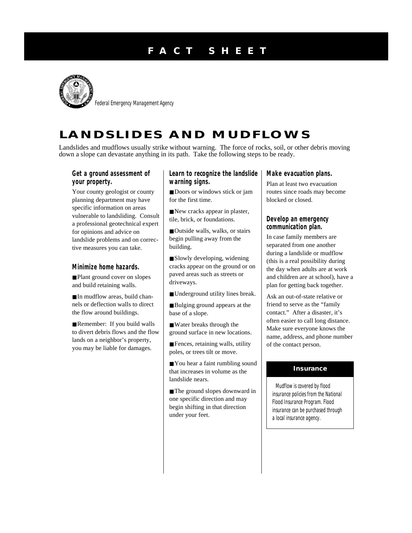## **F A C T S H E E T**



Federal Emergency Management Agency

### **LANDSLIDES AND MUDFLOWS**

Landslides and mudflows usually strike without warning. The force of rocks, soil, or other debris moving down a slope can devastate anything in its path. Take the following steps to be ready.

### **Get a ground assessment of your property.**

Your county geologist or county planning department may have specific information on areas vulnerable to landsliding. Consult a professional geotechnical expert for opinions and advice on landslide problems and on corrective measures you can take.

**Minimize home hazards.**

■ Plant ground cover on slopes and build retaining walls.

■ In mudflow areas, build channels or deflection walls to direct the flow around buildings.

■ Remember: If you build walls to divert debris flows and the flow lands on a neighbor's property, you may be liable for damages.

**Learn to recognize the landslide warning signs.**

- Doors or windows stick or jam for the first time.
- New cracks appear in plaster, tile, brick, or foundations.

■ Outside walls, walks, or stairs begin pulling away from the building.

- Slowly developing, widening cracks appear on the ground or on paved areas such as streets or driveways.
- Underground utility lines break.
- Bulging ground appears at the base of a slope.
- Water breaks through the ground surface in new locations.
- Fences, retaining walls, utility poles, or trees tilt or move.
- You hear a faint rumbling sound that increases in volume as the landslide nears.
- The ground slopes downward in one specific direction and may begin shifting in that direction under your feet.

**Make evacuation plans.**

Plan at least two evacuation routes since roads may become blocked or closed.

**Develop an emergency communication plan.**

In case family members are separated from one another during a landslide or mudflow (this is a real possibility during the day when adults are at work and children are at school), have a plan for getting back together.

Ask an out-of-state relative or friend to serve as the "family contact." After a disaster, it's often easier to call long distance. Make sure everyone knows the name, address, and phone number of the contact person.

#### **Insurance**

Mudflow is covered by flood insurance policies from the National Flood Insurance Program. Flood insurance can be purchased through a local insurance agency.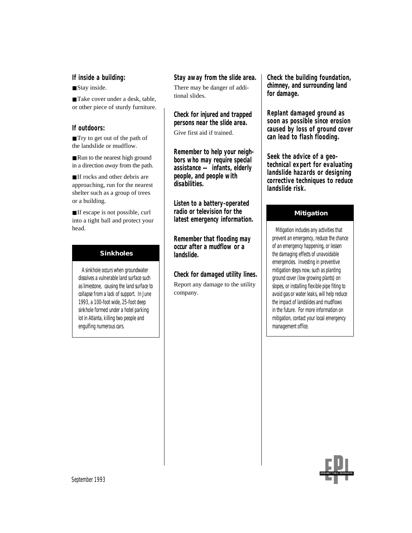**If inside a building:**

■ Stay inside.

■ Take cover under a desk, table, or other piece of sturdy furniture.

#### **If outdoors:**

■ Try to get out of the path of the landslide or mudflow.

■ Run to the nearest high ground in a direction *away* from the path.

■ If rocks and other debris are approaching, run for the nearest shelter such as a group of trees or a building.

■ If escape is not possible, curl into a tight ball and protect your head.

### **Sinkholes**

A sinkhole occurs when groundwater dissolves a vulnerable land surface such as limestone, causing the land surface to collapse from a lack of support. In June 1993, a 100-foot wide, 25-foot deep sinkhole formed under a hotel parking lot in Atlanta, killing two people and engulfing numerous cars.

**Stay away from the slide area.** There may be danger of additional slides.

**Check for injured and trapped persons near the slide area.** Give first aid if trained.

**Remember to help your neighbors who may require special assistance — infants, elderly people, and people with disabilities.**

**Listen to a battery-operated radio or television for the latest emergency information.**

**Remember that flooding may occur after a mudflow or a landslide.**

**Check for damaged utility lines.** Report any damage to the utility company.

**Check the building foundation, chimney, and surrounding land for damage.**

**Replant damaged ground as soon as possible since erosion caused by loss of ground cover can lead to flash flooding.**

**Seek the advice of a geotechnical expert for evaluating landslide hazards or designing corrective techniques to reduce landslide risk.**

### **Mitigation**

Mitigation includes any activities that prevent an emergency, reduce the chance of an emergency happening, or lessen the damaging effects of unavoidable emergencies. Investing in preventive mitigation steps now, such as planting ground cover (low growing plants) on slopes, or installing flexible pipe fiting to avoid gas or water leaks, will help reduce the impact of landslides and mudflows in the future. For more information on mitigation, contact your local emergency management office.

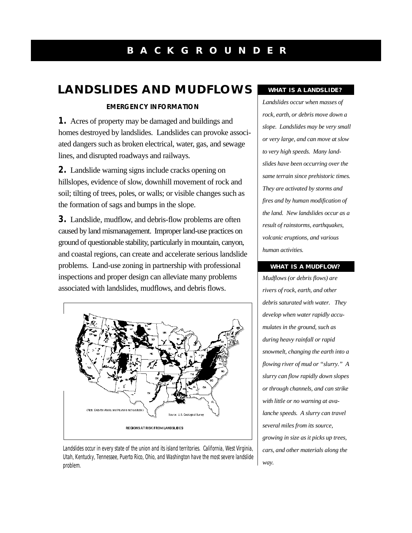### **B A C K G R O U N D E R**

## **LANDSLIDES AND MUDFLOWS**

### **EMERGENCY INFORMATION**

**1.** Acres of property may be damaged and buildings and homes destroyed by landslides. Landslides can provoke associated dangers such as broken electrical, water, gas, and sewage lines, and disrupted roadways and railways.

**2.** Landslide warning signs include cracks opening on hillslopes, evidence of slow, downhill movement of rock and soil; tilting of trees, poles, or walls; or visible changes such as the formation of sags and bumps in the slope.

**3.** Landslide, mudflow, and debris-flow problems are often caused by land mismanagement. Improper land-use practices on ground of questionable stability, particularly in mountain, canyon, and coastal regions, can create and accelerate serious landslide problems. Land-use zoning in partnership with professional inspections and proper design can alleviate many problems associated with landslides, mudflows, and debris flows.



Landslides occur in every state of the union and its island territories. California, West Virginia, Utah, Kentucky, Tennessee, Puerto Rico, Ohio, and Washington have the most severe landslide problem.

#### **WHAT IS A LANDSLIDE?**

*Landslides occur when masses of rock, earth, or debris move down a slope. Landslides may be very small or very large, and can move at slow to very high speeds. Many landslides have been occurring over the same terrain since prehistoric times. They are activated by storms and fires and by human modification of the land. New landslides occur as a result of rainstorms, earthquakes, volcanic eruptions, and various human activities.*

#### **WHAT IS A MUDFLOW?**

*Mudflows (or debris flows) are rivers of rock, earth, and other debris saturated with water. They develop when water rapidly accumulates in the ground, such as during heavy rainfall or rapid snowmelt, changing the earth into a flowing river of mud or "slurry." A slurry can flow rapidly down slopes or through channels, and can strike with little or no warning at avalanche speeds. A slurry can travel several miles from its source, growing in size as it picks up trees, cars, and other materials along the way.*